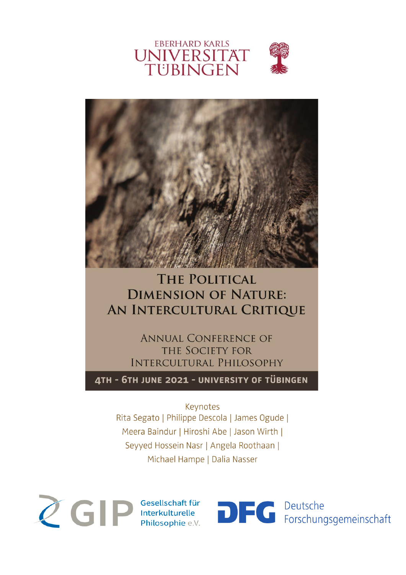



### **THE POLITICAL DIMENSION OF NATURE:** AN INTERCULTURAL CRITIQUE

**ANNUAL CONFERENCE OF** THE SOCIETY FOR **INTERCULTURAL PHILOSOPHY** 

4TH - 6TH JUNE 2021 - UNIVERSITY OF TÜBINGEN

Keynotes Rita Segato | Philippe Descola | James Ogude | Meera Baindur | Hiroshi Abe | Jason Wirth | Seyyed Hossein Nasr | Angela Roothaan | Michael Hampe | Dalia Nasser



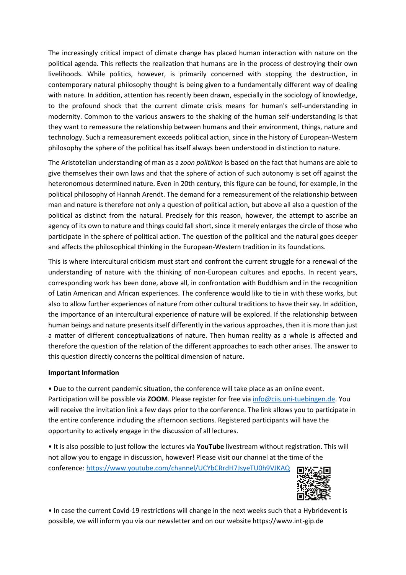The increasingly critical impact of climate change has placed human interaction with nature on the political agenda. This reflects the realization that humans are in the process of destroying their own livelihoods. While politics, however, is primarily concerned with stopping the destruction, in contemporary natural philosophy thought is being given to a fundamentally different way of dealing with nature. In addition, attention has recently been drawn, especially in the sociology of knowledge, to the profound shock that the current climate crisis means for human's self-understanding in modernity. Common to the various answers to the shaking of the human self-understanding is that they want to remeasure the relationship between humans and their environment, things, nature and technology. Such a remeasurement exceeds political action, since in the history of European-Western philosophy the sphere of the political has itself always been understood in distinction to nature.

The Aristotelian understanding of man as a *zoon politikon* is based on the fact that humans are able to give themselves their own laws and that the sphere of action of such autonomy is set off against the heteronomous determined nature. Even in 20th century, this figure can be found, for example, in the political philosophy of Hannah Arendt. The demand for a remeasurement of the relationship between man and nature is therefore not only a question of political action, but above all also a question of the political as distinct from the natural. Precisely for this reason, however, the attempt to ascribe an agency of its own to nature and things could fall short, since it merely enlarges the circle of those who participate in the sphere of political action. The question of the political and the natural goes deeper and affects the philosophical thinking in the European-Western tradition in its foundations.

This is where intercultural criticism must start and confront the current struggle for a renewal of the understanding of nature with the thinking of non-European cultures and epochs. In recent years, corresponding work has been done, above all, in confrontation with Buddhism and in the recognition of Latin American and African experiences. The conference would like to tie in with these works, but also to allow further experiences of nature from other cultural traditions to have their say. In addition, the importance of an intercultural experience of nature will be explored. If the relationship between human beings and nature presents itself differently in the various approaches, then it is more than just a matter of different conceptualizations of nature. Then human reality as a whole is affected and therefore the question of the relation of the different approaches to each other arises. The answer to this question directly concerns the political dimension of nature.

#### **Important Information**

• Due to the current pandemic situation, the conference will take place as an online event. Participation will be possible via **ZOOM**. Please register for free vi[a info@ciis.uni-tuebingen.de.](mailto:info@ciis.uni-tuebingen.de) You will receive the invitation link a few days prior to the conference. The link allows you to participate in the entire conference including the afternoon sections. Registered participants will have the opportunity to actively engage in the discussion of all lectures.

• It is also possible to just follow the lectures via **YouTube** livestream without registration. This will not allow you to engage in discussion, however! Please visit our channel at the time of the conference[: https://www.youtube.com/channel/UCYbCRrdH7JsyeTU0h9VJKAQ](https://www.youtube.com/channel/UCYbCRrdH7JsyeTU0h9VJKAQ)



• In case the current Covid-19 restrictions will change in the next weeks such that a Hybridevent is possible, we will inform you via our newsletter and on our website https://www.int-gip.de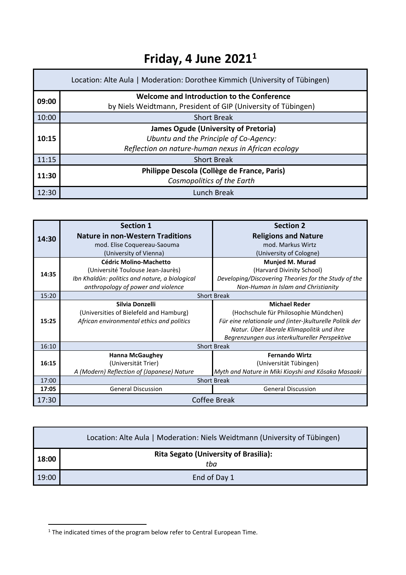### **Friday, 4 June 2021 1**

| Location: Alte Aula   Moderation: Dorothee Kimmich (University of Tübingen) |                                                               |  |
|-----------------------------------------------------------------------------|---------------------------------------------------------------|--|
| 09:00                                                                       | Welcome and Introduction to the Conference                    |  |
|                                                                             | by Niels Weidtmann, President of GIP (University of Tübingen) |  |
| 10:00                                                                       | <b>Short Break</b>                                            |  |
|                                                                             | <b>James Ogude (University of Pretoria)</b>                   |  |
| 10:15                                                                       | Ubuntu and the Principle of Co-Agency:                        |  |
|                                                                             | Reflection on nature-human nexus in African ecology           |  |
| 11:15                                                                       | <b>Short Break</b>                                            |  |
| 11:30                                                                       | Philippe Descola (Collège de France, Paris)                   |  |
|                                                                             | Cosmopolitics of the Earth                                    |  |
| 12:30                                                                       | Lunch Break                                                   |  |

|       | <b>Section 1</b>                               | <b>Section 2</b>                                        |
|-------|------------------------------------------------|---------------------------------------------------------|
| 14:30 | <b>Nature in non-Western Traditions</b>        | <b>Religions and Nature</b>                             |
|       | mod. Elise Coquereau-Saouma                    | mod. Markus Wirtz                                       |
|       | (University of Vienna)                         | (University of Cologne)                                 |
|       | <b>Cédric Molino-Machetto</b>                  | <b>Munjed M. Murad</b>                                  |
| 14:35 | (Université Toulouse Jean-Jaurès)              | (Harvard Divinity School)                               |
|       | Ibn Khaldûn: politics and nature, a biological | Developing/Discovering Theories for the Study of the    |
|       | anthropology of power and violence             | Non-Human in Islam and Christianity                     |
| 15:20 |                                                | <b>Short Break</b>                                      |
|       | Silvia Donzelli                                | <b>Michael Reder</b>                                    |
|       | (Universities of Bielefeld and Hamburg)        | (Hochschule für Philosophie Mündchen)                   |
| 15:25 | African environmental ethics and politics      | Für eine relationale und (inter-)kulturelle Politik der |
|       |                                                | Natur. Über liberale Klimapolitik und ihre              |
|       |                                                | Begrenzungen aus interkultureller Perspektive           |
| 16:10 | <b>Short Break</b>                             |                                                         |
|       | <b>Hanna McGaughey</b>                         | <b>Fernando Wirtz</b>                                   |
| 16:15 | (Universität Trier)                            | (Universität Tübingen)                                  |
|       | A (Modern) Reflection of (Japanese) Nature     | Myth and Nature in Miki Kioyshi and Kōsaka Masaaki      |
| 17:00 |                                                | <b>Short Break</b>                                      |
| 17:05 | <b>General Discussion</b>                      | <b>General Discussion</b>                               |
| 17:30 |                                                | <b>Coffee Break</b>                                     |

|       | Location: Alte Aula   Moderation: Niels Weidtmann (University of Tübingen) |
|-------|----------------------------------------------------------------------------|
| 18:00 | <b>Rita Segato (University of Brasilia):</b><br>tba                        |
| 19:00 | End of Day 1                                                               |

 $1$  The indicated times of the program below refer to Central European Time.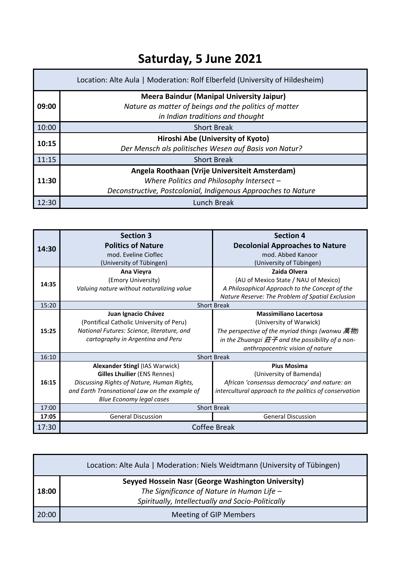## **Saturday, 5 June 2021**

|       | Location: Alte Aula   Moderation: Rolf Elberfeld (University of Hildesheim)                                                                                  |
|-------|--------------------------------------------------------------------------------------------------------------------------------------------------------------|
| 09:00 | <b>Meera Baindur (Manipal University Jaipur)</b><br>Nature as matter of beings and the politics of matter<br>in Indian traditions and thought                |
| 10:00 | <b>Short Break</b>                                                                                                                                           |
| 10:15 | Hiroshi Abe (University of Kyoto)<br>Der Mensch als politisches Wesen auf Basis von Natur?                                                                   |
| 11:15 | <b>Short Break</b>                                                                                                                                           |
| 11:30 | Angela Roothaan (Vrije Universiteit Amsterdam)<br>Where Politics and Philosophy Intersect -<br>Deconstructive, Postcolonial, Indigenous Approaches to Nature |
| 12:30 | Lunch Break                                                                                                                                                  |

|       | <b>Section 3</b>                              | <b>Section 4</b>                                          |
|-------|-----------------------------------------------|-----------------------------------------------------------|
| 14:30 | <b>Politics of Nature</b>                     | <b>Decolonial Approaches to Nature</b>                    |
|       | mod. Eveline Cioflec                          | mod. Abbed Kanoor                                         |
|       | (University of Tübingen)                      | (University of Tübingen)                                  |
|       | Ana Vieyra                                    | Zaida Olvera                                              |
| 14:35 | (Emory University)                            | (AU of Mexico State / NAU of Mexico)                      |
|       | Valuing nature without naturalizing value     | A Philosophical Approach to the Concept of the            |
|       |                                               | Nature Reserve: The Problem of Spatial Exclusion          |
| 15:20 |                                               | <b>Short Break</b>                                        |
|       | Juan Ignacio Chávez                           | <b>Massimiliano Lacertosa</b>                             |
|       | (Pontifical Catholic University of Peru)      | (University of Warwick)                                   |
| 15:25 | National Futures: Science, literature, and    | The perspective of the myriad things (wanwu 萬物)           |
|       | cartography in Argentina and Peru             | in the Zhuangzi $\#$ $\neq$ and the possibility of a non- |
|       |                                               | anthropocentric vision of nature                          |
| 16:10 |                                               | <b>Short Break</b>                                        |
|       | <b>Alexander Stingl (IAS Warwick)</b>         | <b>Pius Mosima</b>                                        |
|       | <b>Gilles Lhuilier (ENS Rennes)</b>           | (University of Bamenda)                                   |
| 16:15 | Discussing Rights of Nature, Human Rights,    | African 'consensus democracy' and nature: an              |
|       | and Earth Transnational Law on the example of | intercultural approach to the politics of conservation    |
|       | Blue Economy legal cases                      |                                                           |
| 17:00 | <b>Short Break</b>                            |                                                           |
| 17:05 | <b>General Discussion</b>                     | <b>General Discussion</b>                                 |
| 17:30 | <b>Coffee Break</b>                           |                                                           |

|       | Location: Alte Aula   Moderation: Niels Weidtmann (University of Tübingen)                                                                              |
|-------|---------------------------------------------------------------------------------------------------------------------------------------------------------|
| 18:00 | Seyyed Hossein Nasr (George Washington University)<br>The Significance of Nature in Human Life $-$<br>Spiritually, Intellectually and Socio-Politically |
| 20:00 | <b>Meeting of GIP Members</b>                                                                                                                           |